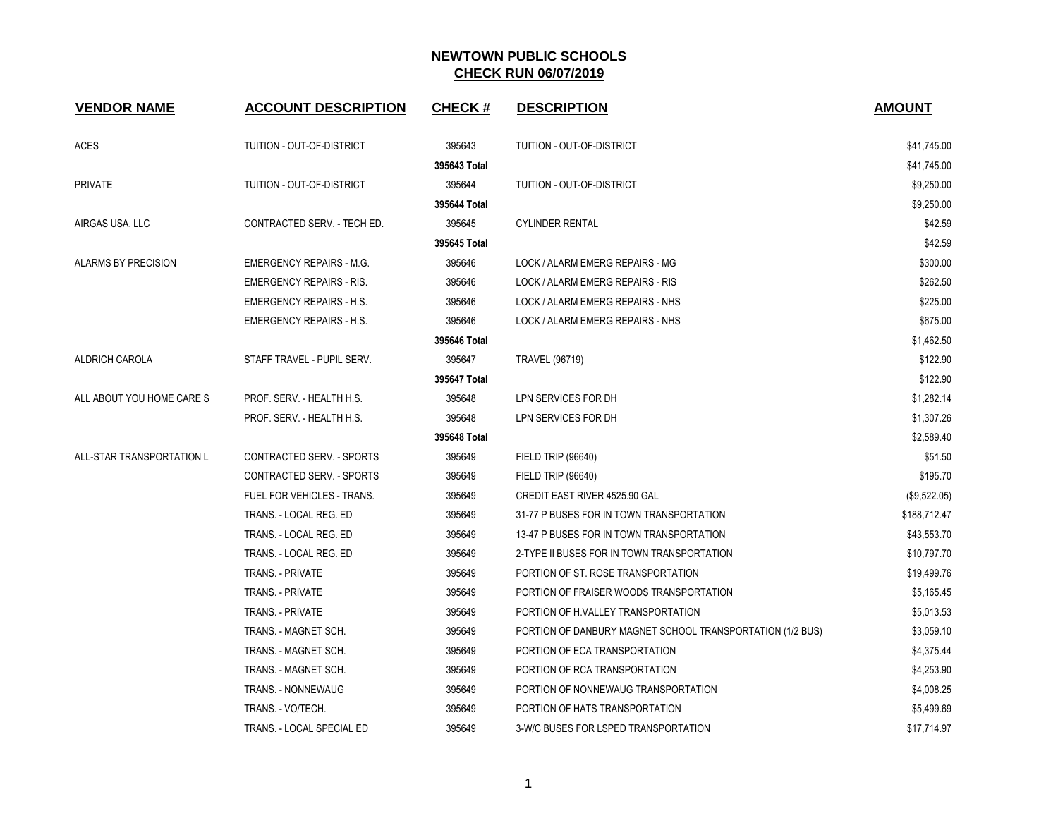| <b>VENDOR NAME</b>         | <b>ACCOUNT DESCRIPTION</b>        | <b>CHECK#</b> | <b>DESCRIPTION</b>                                        | <b>AMOUNT</b> |
|----------------------------|-----------------------------------|---------------|-----------------------------------------------------------|---------------|
| <b>ACES</b>                | TUITION - OUT-OF-DISTRICT         | 395643        | TUITION - OUT-OF-DISTRICT                                 | \$41,745.00   |
|                            |                                   | 395643 Total  |                                                           | \$41,745.00   |
| <b>PRIVATE</b>             | TUITION - OUT-OF-DISTRICT         | 395644        | TUITION - OUT-OF-DISTRICT                                 | \$9,250.00    |
|                            |                                   | 395644 Total  |                                                           | \$9,250.00    |
| AIRGAS USA, LLC            | CONTRACTED SERV. - TECH ED.       | 395645        | <b>CYLINDER RENTAL</b>                                    | \$42.59       |
|                            |                                   | 395645 Total  |                                                           | \$42.59       |
| <b>ALARMS BY PRECISION</b> | <b>EMERGENCY REPAIRS - M.G.</b>   | 395646        | LOCK / ALARM EMERG REPAIRS - MG                           | \$300.00      |
|                            | <b>EMERGENCY REPAIRS - RIS.</b>   | 395646        | LOCK / ALARM EMERG REPAIRS - RIS                          | \$262.50      |
|                            | <b>EMERGENCY REPAIRS - H.S.</b>   | 395646        | LOCK / ALARM EMERG REPAIRS - NHS                          | \$225.00      |
|                            | <b>EMERGENCY REPAIRS - H.S.</b>   | 395646        | LOCK / ALARM EMERG REPAIRS - NHS                          | \$675.00      |
|                            |                                   | 395646 Total  |                                                           | \$1,462.50    |
| ALDRICH CAROLA             | STAFF TRAVEL - PUPIL SERV.        | 395647        | <b>TRAVEL (96719)</b>                                     | \$122.90      |
|                            |                                   | 395647 Total  |                                                           | \$122.90      |
| ALL ABOUT YOU HOME CARE S  | PROF. SERV. - HEALTH H.S.         | 395648        | LPN SERVICES FOR DH                                       | \$1,282.14    |
|                            | PROF. SERV. - HEALTH H.S.         | 395648        | LPN SERVICES FOR DH                                       | \$1,307.26    |
|                            |                                   | 395648 Total  |                                                           | \$2,589.40    |
| ALL-STAR TRANSPORTATION L  | CONTRACTED SERV. - SPORTS         | 395649        | <b>FIELD TRIP (96640)</b>                                 | \$51.50       |
|                            | CONTRACTED SERV. - SPORTS         | 395649        | FIELD TRIP (96640)                                        | \$195.70      |
|                            | <b>FUEL FOR VEHICLES - TRANS.</b> | 395649        | <b>CREDIT EAST RIVER 4525.90 GAL</b>                      | (\$9,522.05)  |
|                            | TRANS. - LOCAL REG. ED            | 395649        | 31-77 P BUSES FOR IN TOWN TRANSPORTATION                  | \$188,712.47  |
|                            | TRANS. - LOCAL REG. ED            | 395649        | 13-47 P BUSES FOR IN TOWN TRANSPORTATION                  | \$43,553.70   |
|                            | TRANS. - LOCAL REG. ED            | 395649        | 2-TYPE II BUSES FOR IN TOWN TRANSPORTATION                | \$10,797.70   |
|                            | <b>TRANS. - PRIVATE</b>           | 395649        | PORTION OF ST. ROSE TRANSPORTATION                        | \$19,499.76   |
|                            | <b>TRANS. - PRIVATE</b>           | 395649        | PORTION OF FRAISER WOODS TRANSPORTATION                   | \$5,165.45    |
|                            | <b>TRANS. - PRIVATE</b>           | 395649        | PORTION OF H.VALLEY TRANSPORTATION                        | \$5,013.53    |
|                            | TRANS. - MAGNET SCH.              | 395649        | PORTION OF DANBURY MAGNET SCHOOL TRANSPORTATION (1/2 BUS) | \$3,059.10    |
|                            | TRANS. - MAGNET SCH.              | 395649        | PORTION OF ECA TRANSPORTATION                             | \$4,375.44    |
|                            | TRANS. - MAGNET SCH.              | 395649        | PORTION OF RCA TRANSPORTATION                             | \$4,253.90    |
|                            | <b>TRANS. - NONNEWAUG</b>         | 395649        | PORTION OF NONNEWAUG TRANSPORTATION                       | \$4,008.25    |
|                            | TRANS. - VO/TECH.                 | 395649        | PORTION OF HATS TRANSPORTATION                            | \$5,499.69    |
|                            | TRANS. - LOCAL SPECIAL ED         | 395649        | 3-W/C BUSES FOR LSPED TRANSPORTATION                      | \$17,714.97   |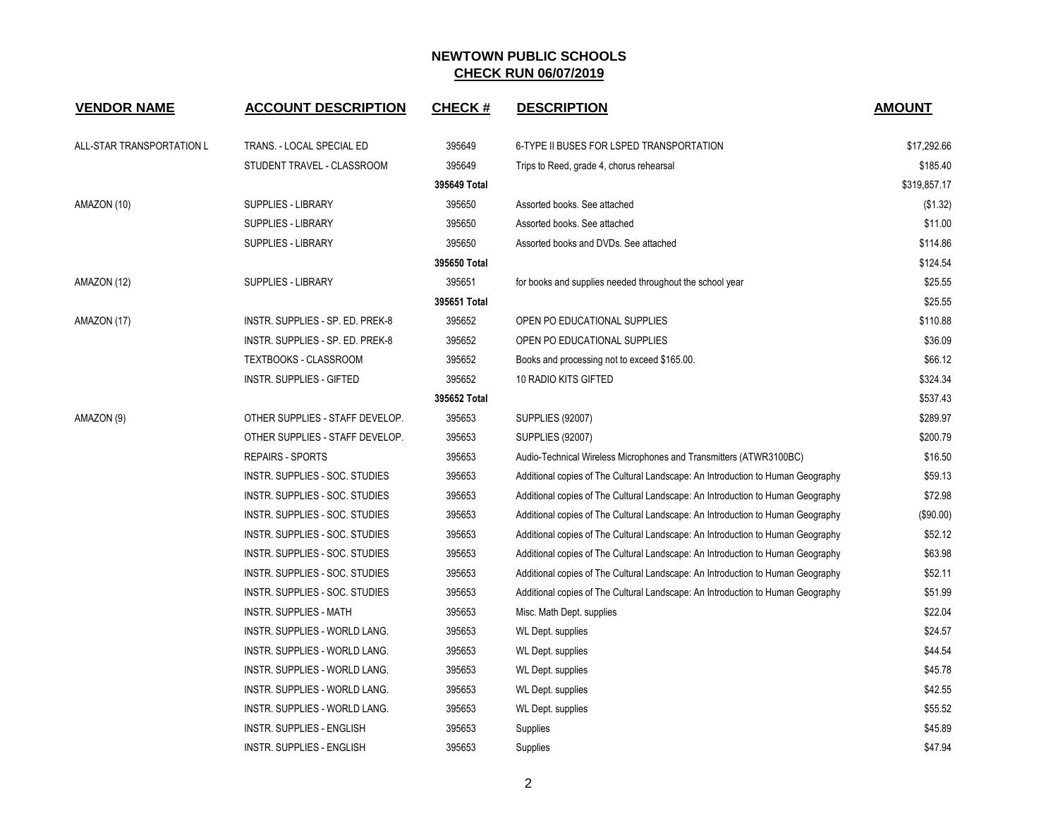| <b>VENDOR NAME</b>        | <b>ACCOUNT DESCRIPTION</b>       | <b>CHECK#</b> | <b>DESCRIPTION</b>                                                              | <b>AMOUNT</b> |
|---------------------------|----------------------------------|---------------|---------------------------------------------------------------------------------|---------------|
| ALL-STAR TRANSPORTATION L | TRANS. - LOCAL SPECIAL ED        | 395649        | 6-TYPE II BUSES FOR LSPED TRANSPORTATION                                        | \$17,292.66   |
|                           | STUDENT TRAVEL - CLASSROOM       | 395649        | Trips to Reed, grade 4, chorus rehearsal                                        | \$185.40      |
|                           |                                  | 395649 Total  |                                                                                 | \$319,857.17  |
| AMAZON (10)               | <b>SUPPLIES - LIBRARY</b>        | 395650        | Assorted books. See attached                                                    | (\$1.32)      |
|                           | <b>SUPPLIES - LIBRARY</b>        | 395650        | Assorted books. See attached                                                    | \$11.00       |
|                           | <b>SUPPLIES - LIBRARY</b>        | 395650        | Assorted books and DVDs. See attached                                           | \$114.86      |
|                           |                                  | 395650 Total  |                                                                                 | \$124.54      |
| AMAZON (12)               | <b>SUPPLIES - LIBRARY</b>        | 395651        | for books and supplies needed throughout the school year                        | \$25.55       |
|                           |                                  | 395651 Total  |                                                                                 | \$25.55       |
| AMAZON (17)               | INSTR. SUPPLIES - SP. ED. PREK-8 | 395652        | OPEN PO EDUCATIONAL SUPPLIES                                                    | \$110.88      |
|                           | INSTR. SUPPLIES - SP. ED. PREK-8 | 395652        | OPEN PO EDUCATIONAL SUPPLIES                                                    | \$36.09       |
|                           | <b>TEXTBOOKS - CLASSROOM</b>     | 395652        | Books and processing not to exceed \$165.00.                                    | \$66.12       |
|                           | <b>INSTR. SUPPLIES - GIFTED</b>  | 395652        | 10 RADIO KITS GIFTED                                                            | \$324.34      |
|                           |                                  | 395652 Total  |                                                                                 | \$537.43      |
| AMAZON (9)                | OTHER SUPPLIES - STAFF DEVELOP.  | 395653        | <b>SUPPLIES (92007)</b>                                                         | \$289.97      |
|                           | OTHER SUPPLIES - STAFF DEVELOP.  | 395653        | <b>SUPPLIES (92007)</b>                                                         | \$200.79      |
|                           | <b>REPAIRS - SPORTS</b>          | 395653        | Audio-Technical Wireless Microphones and Transmitters (ATWR3100BC)              | \$16.50       |
|                           | INSTR. SUPPLIES - SOC. STUDIES   | 395653        | Additional copies of The Cultural Landscape: An Introduction to Human Geography | \$59.13       |
|                           | INSTR. SUPPLIES - SOC. STUDIES   | 395653        | Additional copies of The Cultural Landscape: An Introduction to Human Geography | \$72.98       |
|                           | INSTR. SUPPLIES - SOC. STUDIES   | 395653        | Additional copies of The Cultural Landscape: An Introduction to Human Geography | $(\$90.00)$   |
|                           | INSTR. SUPPLIES - SOC. STUDIES   | 395653        | Additional copies of The Cultural Landscape: An Introduction to Human Geography | \$52.12       |
|                           | INSTR. SUPPLIES - SOC. STUDIES   | 395653        | Additional copies of The Cultural Landscape: An Introduction to Human Geography | \$63.98       |
|                           | INSTR. SUPPLIES - SOC. STUDIES   | 395653        | Additional copies of The Cultural Landscape: An Introduction to Human Geography | \$52.11       |
|                           | INSTR. SUPPLIES - SOC. STUDIES   | 395653        | Additional copies of The Cultural Landscape: An Introduction to Human Geography | \$51.99       |
|                           | <b>INSTR. SUPPLIES - MATH</b>    | 395653        | Misc. Math Dept. supplies                                                       | \$22.04       |
|                           | INSTR. SUPPLIES - WORLD LANG.    | 395653        | <b>WL Dept. supplies</b>                                                        | \$24.57       |
|                           | INSTR. SUPPLIES - WORLD LANG.    | 395653        | WL Dept. supplies                                                               | \$44.54       |
|                           | INSTR. SUPPLIES - WORLD LANG.    | 395653        | WL Dept. supplies                                                               | \$45.78       |
|                           | INSTR. SUPPLIES - WORLD LANG.    | 395653        | <b>WL Dept. supplies</b>                                                        | \$42.55       |
|                           | INSTR. SUPPLIES - WORLD LANG.    | 395653        | <b>WL Dept. supplies</b>                                                        | \$55.52       |
|                           | <b>INSTR. SUPPLIES - ENGLISH</b> | 395653        | Supplies                                                                        | \$45.89       |
|                           | <b>INSTR. SUPPLIES - ENGLISH</b> | 395653        | Supplies                                                                        | \$47.94       |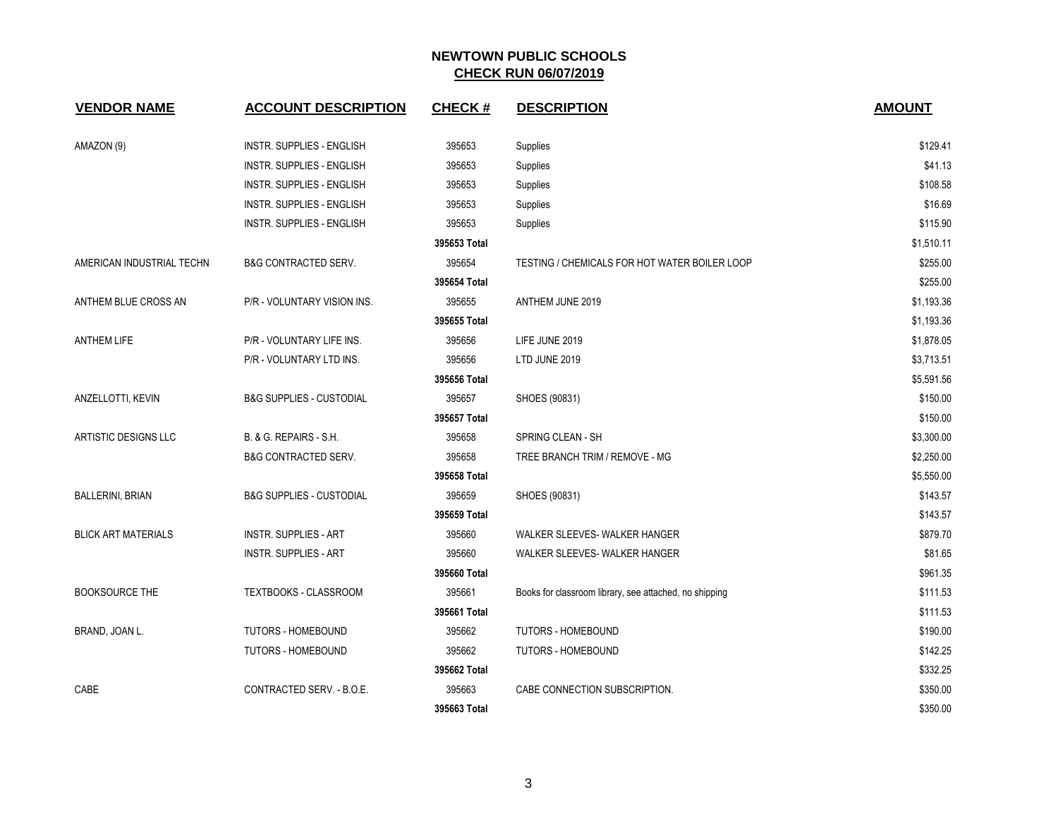| <b>VENDOR NAME</b>         | <b>ACCOUNT DESCRIPTION</b>          | <b>CHECK#</b> | <b>DESCRIPTION</b>                                     | <b>AMOUNT</b> |
|----------------------------|-------------------------------------|---------------|--------------------------------------------------------|---------------|
| AMAZON (9)                 | INSTR. SUPPLIES - ENGLISH           | 395653        | Supplies                                               | \$129.41      |
|                            | INSTR. SUPPLIES - ENGLISH           | 395653        | Supplies                                               | \$41.13       |
|                            | <b>INSTR. SUPPLIES - ENGLISH</b>    | 395653        | Supplies                                               | \$108.58      |
|                            | <b>INSTR. SUPPLIES - ENGLISH</b>    | 395653        | Supplies                                               | \$16.69       |
|                            | INSTR. SUPPLIES - ENGLISH           | 395653        | Supplies                                               | \$115.90      |
|                            |                                     | 395653 Total  |                                                        | \$1,510.11    |
| AMERICAN INDUSTRIAL TECHN  | B&G CONTRACTED SERV.                | 395654        | TESTING / CHEMICALS FOR HOT WATER BOILER LOOP          | \$255.00      |
|                            |                                     | 395654 Total  |                                                        | \$255.00      |
| ANTHEM BLUE CROSS AN       | P/R - VOLUNTARY VISION INS.         | 395655        | ANTHEM JUNE 2019                                       | \$1,193.36    |
|                            |                                     | 395655 Total  |                                                        | \$1,193.36    |
| <b>ANTHEM LIFE</b>         | P/R - VOLUNTARY LIFE INS.           | 395656        | LIFE JUNE 2019                                         | \$1,878.05    |
|                            | P/R - VOLUNTARY LTD INS.            | 395656        | LTD JUNE 2019                                          | \$3,713.51    |
|                            |                                     | 395656 Total  |                                                        | \$5,591.56    |
| ANZELLOTTI, KEVIN          | <b>B&amp;G SUPPLIES - CUSTODIAL</b> | 395657        | SHOES (90831)                                          | \$150.00      |
|                            |                                     | 395657 Total  |                                                        | \$150.00      |
| ARTISTIC DESIGNS LLC       | B. & G. REPAIRS - S.H.              | 395658        | SPRING CLEAN - SH                                      | \$3,300.00    |
|                            | <b>B&amp;G CONTRACTED SERV.</b>     | 395658        | TREE BRANCH TRIM / REMOVE - MG                         | \$2,250.00    |
|                            |                                     | 395658 Total  |                                                        | \$5,550.00    |
| <b>BALLERINI, BRIAN</b>    | <b>B&amp;G SUPPLIES - CUSTODIAL</b> | 395659        | SHOES (90831)                                          | \$143.57      |
|                            |                                     | 395659 Total  |                                                        | \$143.57      |
| <b>BLICK ART MATERIALS</b> | <b>INSTR. SUPPLIES - ART</b>        | 395660        | WALKER SLEEVES- WALKER HANGER                          | \$879.70      |
|                            | <b>INSTR. SUPPLIES - ART</b>        | 395660        | WALKER SLEEVES- WALKER HANGER                          | \$81.65       |
|                            |                                     | 395660 Total  |                                                        | \$961.35      |
| <b>BOOKSOURCE THE</b>      | TEXTBOOKS - CLASSROOM               | 395661        | Books for classroom library, see attached, no shipping | \$111.53      |
|                            |                                     | 395661 Total  |                                                        | \$111.53      |
| BRAND, JOAN L.             | <b>TUTORS - HOMEBOUND</b>           | 395662        | <b>TUTORS - HOMEBOUND</b>                              | \$190.00      |
|                            | TUTORS - HOMEBOUND                  | 395662        | TUTORS - HOMEBOUND                                     | \$142.25      |
|                            |                                     | 395662 Total  |                                                        | \$332.25      |
| CABE                       | CONTRACTED SERV. - B.O.E.           | 395663        | CABE CONNECTION SUBSCRIPTION.                          | \$350.00      |
|                            |                                     | 395663 Total  |                                                        | \$350.00      |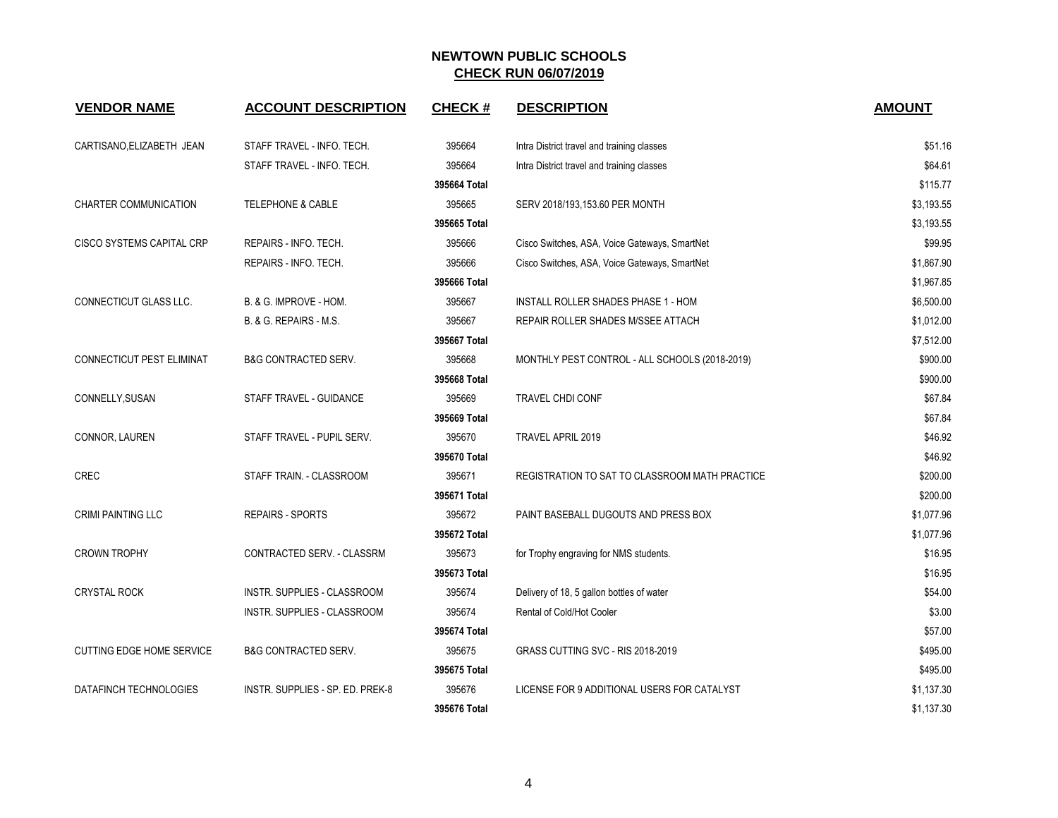| <b>VENDOR NAME</b>               | <b>ACCOUNT DESCRIPTION</b>       | <b>CHECK#</b> | <b>DESCRIPTION</b>                             | <b>AMOUNT</b> |
|----------------------------------|----------------------------------|---------------|------------------------------------------------|---------------|
| CARTISANO, ELIZABETH JEAN        | STAFF TRAVEL - INFO. TECH.       | 395664        | Intra District travel and training classes     | \$51.16       |
|                                  | STAFF TRAVEL - INFO. TECH.       | 395664        | Intra District travel and training classes     | \$64.61       |
|                                  |                                  | 395664 Total  |                                                | \$115.77      |
| CHARTER COMMUNICATION            | <b>TELEPHONE &amp; CABLE</b>     | 395665        | SERV 2018/193,153.60 PER MONTH                 | \$3,193.55    |
|                                  |                                  | 395665 Total  |                                                | \$3,193.55    |
| CISCO SYSTEMS CAPITAL CRP        | REPAIRS - INFO. TECH.            | 395666        | Cisco Switches, ASA, Voice Gateways, SmartNet  | \$99.95       |
|                                  | REPAIRS - INFO. TECH.            | 395666        | Cisco Switches, ASA, Voice Gateways, SmartNet  | \$1,867.90    |
|                                  |                                  | 395666 Total  |                                                | \$1,967.85    |
| CONNECTICUT GLASS LLC.           | B. & G. IMPROVE - HOM.           | 395667        | INSTALL ROLLER SHADES PHASE 1 - HOM            | \$6,500.00    |
|                                  | B. & G. REPAIRS - M.S.           | 395667        | REPAIR ROLLER SHADES M/SSEE ATTACH             | \$1,012.00    |
|                                  |                                  | 395667 Total  |                                                | \$7,512.00    |
| CONNECTICUT PEST ELIMINAT        | <b>B&amp;G CONTRACTED SERV.</b>  | 395668        | MONTHLY PEST CONTROL - ALL SCHOOLS (2018-2019) | \$900.00      |
|                                  |                                  | 395668 Total  |                                                | \$900.00      |
| CONNELLY, SUSAN                  | STAFF TRAVEL - GUIDANCE          | 395669        | <b>TRAVEL CHDI CONF</b>                        | \$67.84       |
|                                  |                                  | 395669 Total  |                                                | \$67.84       |
| CONNOR, LAUREN                   | STAFF TRAVEL - PUPIL SERV.       | 395670        | TRAVEL APRIL 2019                              | \$46.92       |
|                                  |                                  | 395670 Total  |                                                | \$46.92       |
| <b>CREC</b>                      | STAFF TRAIN. - CLASSROOM         | 395671        | REGISTRATION TO SAT TO CLASSROOM MATH PRACTICE | \$200.00      |
|                                  |                                  | 395671 Total  |                                                | \$200.00      |
| <b>CRIMI PAINTING LLC</b>        | <b>REPAIRS - SPORTS</b>          | 395672        | PAINT BASEBALL DUGOUTS AND PRESS BOX           | \$1,077.96    |
|                                  |                                  | 395672 Total  |                                                | \$1,077.96    |
| <b>CROWN TROPHY</b>              | CONTRACTED SERV. - CLASSRM       | 395673        | for Trophy engraving for NMS students.         | \$16.95       |
|                                  |                                  | 395673 Total  |                                                | \$16.95       |
| <b>CRYSTAL ROCK</b>              | INSTR. SUPPLIES - CLASSROOM      | 395674        | Delivery of 18, 5 gallon bottles of water      | \$54.00       |
|                                  | INSTR. SUPPLIES - CLASSROOM      | 395674        | Rental of Cold/Hot Cooler                      | \$3.00        |
|                                  |                                  | 395674 Total  |                                                | \$57.00       |
| <b>CUTTING EDGE HOME SERVICE</b> | <b>B&amp;G CONTRACTED SERV.</b>  | 395675        | GRASS CUTTING SVC - RIS 2018-2019              | \$495.00      |
|                                  |                                  | 395675 Total  |                                                | \$495.00      |
| DATAFINCH TECHNOLOGIES           | INSTR. SUPPLIES - SP. ED. PREK-8 | 395676        | LICENSE FOR 9 ADDITIONAL USERS FOR CATALYST    | \$1,137.30    |
|                                  |                                  | 395676 Total  |                                                | \$1,137.30    |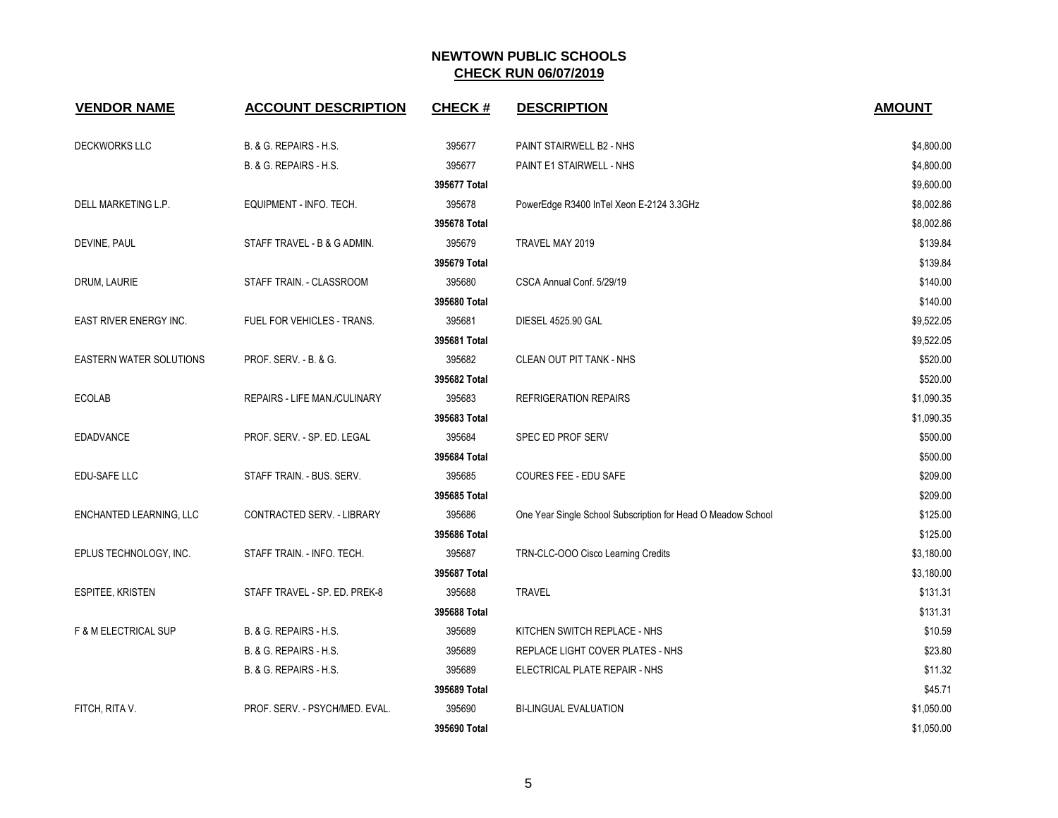| <b>VENDOR NAME</b>             | <b>ACCOUNT DESCRIPTION</b>     | <b>CHECK#</b> | <b>DESCRIPTION</b>                                           | <b>AMOUNT</b> |
|--------------------------------|--------------------------------|---------------|--------------------------------------------------------------|---------------|
| <b>DECKWORKS LLC</b>           | B. & G. REPAIRS - H.S.         | 395677        | PAINT STAIRWELL B2 - NHS                                     | \$4,800.00    |
|                                | B. & G. REPAIRS - H.S.         | 395677        | PAINT E1 STAIRWELL - NHS                                     | \$4,800.00    |
|                                |                                | 395677 Total  |                                                              | \$9,600.00    |
| DELL MARKETING L.P.            | EQUIPMENT - INFO. TECH.        | 395678        | PowerEdge R3400 InTel Xeon E-2124 3.3GHz                     | \$8,002.86    |
|                                |                                | 395678 Total  |                                                              | \$8,002.86    |
| DEVINE, PAUL                   | STAFF TRAVEL - B & G ADMIN.    | 395679        | TRAVEL MAY 2019                                              | \$139.84      |
|                                |                                | 395679 Total  |                                                              | \$139.84      |
| DRUM, LAURIE                   | STAFF TRAIN. - CLASSROOM       | 395680        | CSCA Annual Conf. 5/29/19                                    | \$140.00      |
|                                |                                | 395680 Total  |                                                              | \$140.00      |
| EAST RIVER ENERGY INC.         | FUEL FOR VEHICLES - TRANS.     | 395681        | DIESEL 4525.90 GAL                                           | \$9,522.05    |
|                                |                                | 395681 Total  |                                                              | \$9,522.05    |
| <b>EASTERN WATER SOLUTIONS</b> | PROF. SERV. - B. & G.          | 395682        | CLEAN OUT PIT TANK - NHS                                     | \$520.00      |
|                                |                                | 395682 Total  |                                                              | \$520.00      |
| <b>ECOLAB</b>                  | REPAIRS - LIFE MAN./CULINARY   | 395683        | <b>REFRIGERATION REPAIRS</b>                                 | \$1,090.35    |
|                                |                                | 395683 Total  |                                                              | \$1,090.35    |
| <b>EDADVANCE</b>               | PROF. SERV. - SP. ED. LEGAL    | 395684        | SPEC ED PROF SERV                                            | \$500.00      |
|                                |                                | 395684 Total  |                                                              | \$500.00      |
| EDU-SAFE LLC                   | STAFF TRAIN. - BUS. SERV.      | 395685        | COURES FEE - EDU SAFE                                        | \$209.00      |
|                                |                                | 395685 Total  |                                                              | \$209.00      |
| ENCHANTED LEARNING, LLC        | CONTRACTED SERV. - LIBRARY     | 395686        | One Year Single School Subscription for Head O Meadow School | \$125.00      |
|                                |                                | 395686 Total  |                                                              | \$125.00      |
| EPLUS TECHNOLOGY, INC.         | STAFF TRAIN. - INFO. TECH.     | 395687        | TRN-CLC-OOO Cisco Learning Credits                           | \$3,180.00    |
|                                |                                | 395687 Total  |                                                              | \$3,180.00    |
| ESPITEE, KRISTEN               | STAFF TRAVEL - SP. ED. PREK-8  | 395688        | <b>TRAVEL</b>                                                | \$131.31      |
|                                |                                | 395688 Total  |                                                              | \$131.31      |
| F & M ELECTRICAL SUP           | B. & G. REPAIRS - H.S.         | 395689        | KITCHEN SWITCH REPLACE - NHS                                 | \$10.59       |
|                                | B. & G. REPAIRS - H.S.         | 395689        | REPLACE LIGHT COVER PLATES - NHS                             | \$23.80       |
|                                | B. & G. REPAIRS - H.S.         | 395689        | ELECTRICAL PLATE REPAIR - NHS                                | \$11.32       |
|                                |                                | 395689 Total  |                                                              | \$45.71       |
| FITCH, RITA V.                 | PROF. SERV. - PSYCH/MED. EVAL. | 395690        | <b>BI-LINGUAL EVALUATION</b>                                 | \$1,050.00    |
|                                |                                | 395690 Total  |                                                              | \$1,050.00    |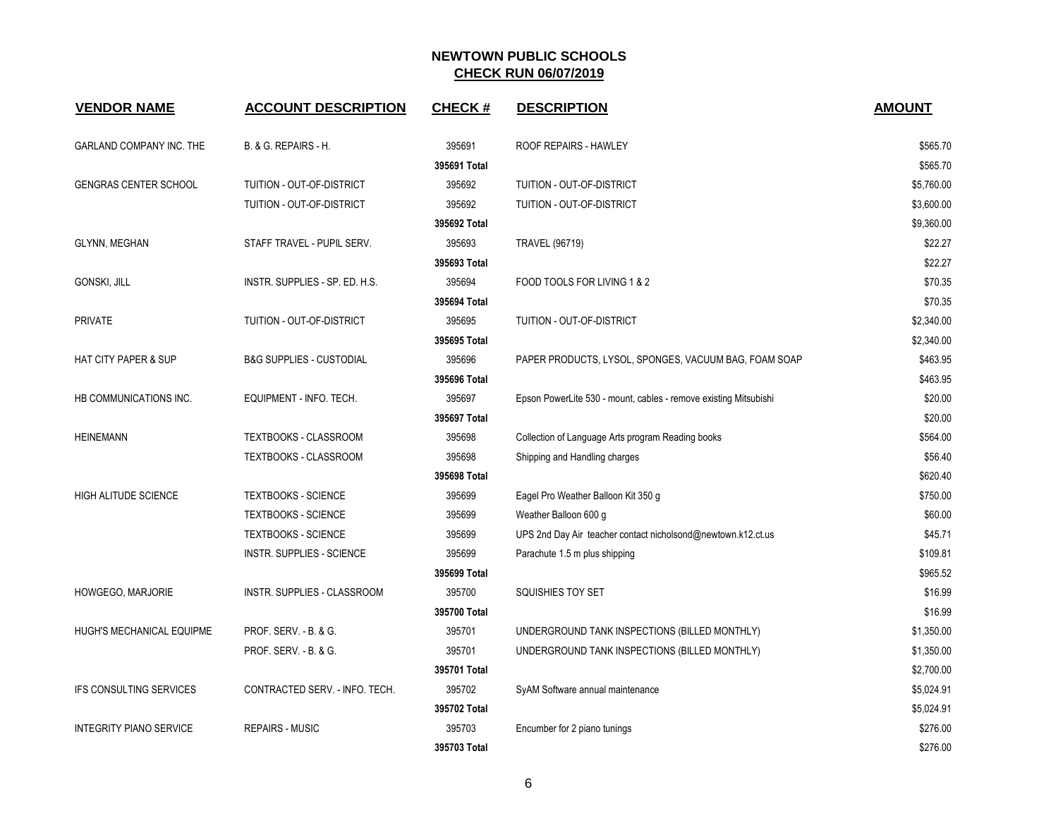| <b>VENDOR NAME</b>              | <b>ACCOUNT DESCRIPTION</b>          | <b>CHECK#</b> | <b>DESCRIPTION</b>                                               | <b>AMOUNT</b> |
|---------------------------------|-------------------------------------|---------------|------------------------------------------------------------------|---------------|
| GARLAND COMPANY INC. THE        | B. & G. REPAIRS - H.                | 395691        | ROOF REPAIRS - HAWLEY                                            | \$565.70      |
|                                 |                                     | 395691 Total  |                                                                  | \$565.70      |
| <b>GENGRAS CENTER SCHOOL</b>    | TUITION - OUT-OF-DISTRICT           | 395692        | TUITION - OUT-OF-DISTRICT                                        | \$5,760.00    |
|                                 | TUITION - OUT-OF-DISTRICT           | 395692        | TUITION - OUT-OF-DISTRICT                                        | \$3,600.00    |
|                                 |                                     | 395692 Total  |                                                                  | \$9,360.00    |
| <b>GLYNN, MEGHAN</b>            | STAFF TRAVEL - PUPIL SERV.          | 395693        | <b>TRAVEL (96719)</b>                                            | \$22.27       |
|                                 |                                     | 395693 Total  |                                                                  | \$22.27       |
| GONSKI, JILL                    | INSTR. SUPPLIES - SP. ED. H.S.      | 395694        | FOOD TOOLS FOR LIVING 1 & 2                                      | \$70.35       |
|                                 |                                     | 395694 Total  |                                                                  | \$70.35       |
| <b>PRIVATE</b>                  | TUITION - OUT-OF-DISTRICT           | 395695        | TUITION - OUT-OF-DISTRICT                                        | \$2,340.00    |
|                                 |                                     | 395695 Total  |                                                                  | \$2,340.00    |
| <b>HAT CITY PAPER &amp; SUP</b> | <b>B&amp;G SUPPLIES - CUSTODIAL</b> | 395696        | PAPER PRODUCTS, LYSOL, SPONGES, VACUUM BAG, FOAM SOAP            | \$463.95      |
|                                 |                                     | 395696 Total  |                                                                  | \$463.95      |
| HB COMMUNICATIONS INC.          | EQUIPMENT - INFO. TECH.             | 395697        | Epson PowerLite 530 - mount, cables - remove existing Mitsubishi | \$20.00       |
|                                 |                                     | 395697 Total  |                                                                  | \$20.00       |
| <b>HEINEMANN</b>                | TEXTBOOKS - CLASSROOM               | 395698        | Collection of Language Arts program Reading books                | \$564.00      |
|                                 | TEXTBOOKS - CLASSROOM               | 395698        | Shipping and Handling charges                                    | \$56.40       |
|                                 |                                     | 395698 Total  |                                                                  | \$620.40      |
| <b>HIGH ALITUDE SCIENCE</b>     | <b>TEXTBOOKS - SCIENCE</b>          | 395699        | Eagel Pro Weather Balloon Kit 350 g                              | \$750.00      |
|                                 | <b>TEXTBOOKS - SCIENCE</b>          | 395699        | Weather Balloon 600 g                                            | \$60.00       |
|                                 | <b>TEXTBOOKS - SCIENCE</b>          | 395699        | UPS 2nd Day Air teacher contact nicholsond@newtown.k12.ct.us     | \$45.71       |
|                                 | INSTR. SUPPLIES - SCIENCE           | 395699        | Parachute 1.5 m plus shipping                                    | \$109.81      |
|                                 |                                     | 395699 Total  |                                                                  | \$965.52      |
| HOWGEGO, MARJORIE               | INSTR. SUPPLIES - CLASSROOM         | 395700        | SQUISHIES TOY SET                                                | \$16.99       |
|                                 |                                     | 395700 Total  |                                                                  | \$16.99       |
| HUGH'S MECHANICAL EQUIPME       | PROF. SERV. - B. & G.               | 395701        | UNDERGROUND TANK INSPECTIONS (BILLED MONTHLY)                    | \$1,350.00    |
|                                 | PROF. SERV. - B. & G.               | 395701        | UNDERGROUND TANK INSPECTIONS (BILLED MONTHLY)                    | \$1,350.00    |
|                                 |                                     | 395701 Total  |                                                                  | \$2,700.00    |
| <b>IFS CONSULTING SERVICES</b>  | CONTRACTED SERV. - INFO. TECH.      | 395702        | SyAM Software annual maintenance                                 | \$5,024.91    |
|                                 |                                     | 395702 Total  |                                                                  | \$5,024.91    |
| <b>INTEGRITY PIANO SERVICE</b>  | <b>REPAIRS - MUSIC</b>              | 395703        | Encumber for 2 piano tunings                                     | \$276.00      |
|                                 |                                     | 395703 Total  |                                                                  | \$276.00      |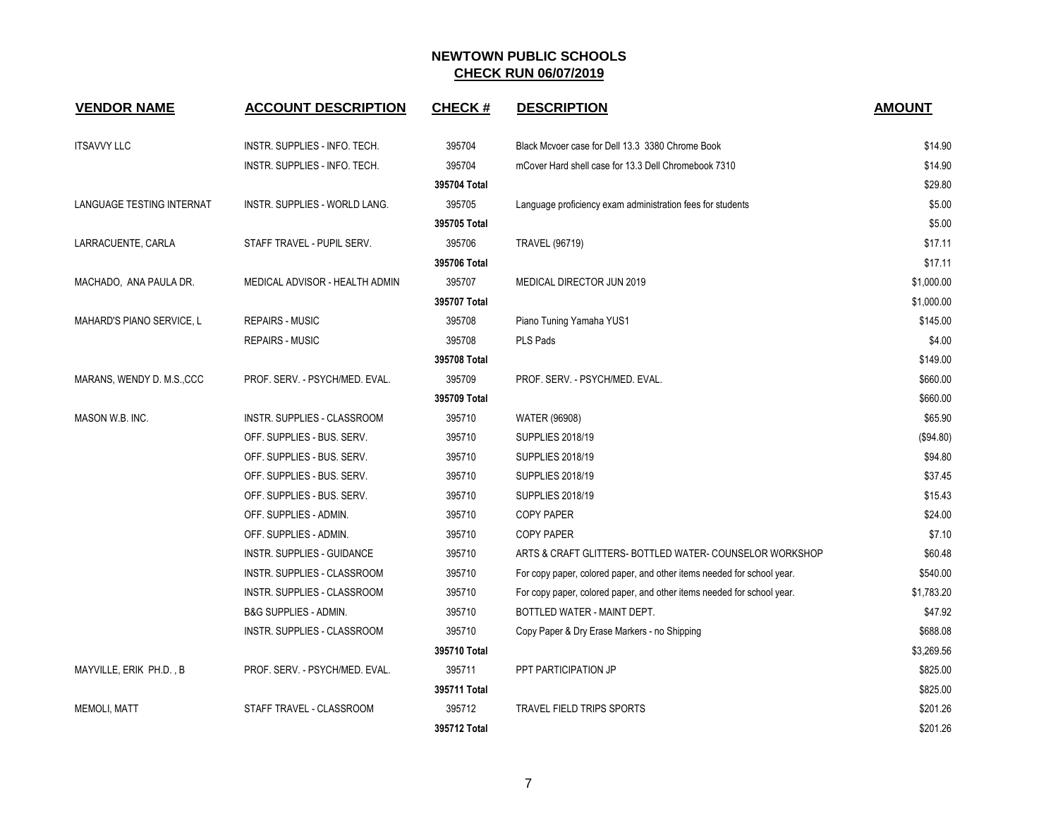| <b>VENDOR NAME</b>        | <b>ACCOUNT DESCRIPTION</b>       | <b>CHECK#</b> | <b>DESCRIPTION</b>                                                     | <b>AMOUNT</b> |
|---------------------------|----------------------------------|---------------|------------------------------------------------------------------------|---------------|
| <b>ITSAVVY LLC</b>        | INSTR. SUPPLIES - INFO. TECH.    | 395704        | Black Mcvoer case for Dell 13.3 3380 Chrome Book                       | \$14.90       |
|                           | INSTR. SUPPLIES - INFO. TECH.    | 395704        | mCover Hard shell case for 13.3 Dell Chromebook 7310                   | \$14.90       |
|                           |                                  | 395704 Total  |                                                                        | \$29.80       |
| LANGUAGE TESTING INTERNAT | INSTR. SUPPLIES - WORLD LANG.    | 395705        | Language proficiency exam administration fees for students             | \$5.00        |
|                           |                                  | 395705 Total  |                                                                        | \$5.00        |
| LARRACUENTE, CARLA        | STAFF TRAVEL - PUPIL SERV.       | 395706        | <b>TRAVEL (96719)</b>                                                  | \$17.11       |
|                           |                                  | 395706 Total  |                                                                        | \$17.11       |
| MACHADO, ANA PAULA DR.    | MEDICAL ADVISOR - HEALTH ADMIN   | 395707        | MEDICAL DIRECTOR JUN 2019                                              | \$1,000.00    |
|                           |                                  | 395707 Total  |                                                                        | \$1,000.00    |
| MAHARD'S PIANO SERVICE, L | <b>REPAIRS - MUSIC</b>           | 395708        | Piano Tuning Yamaha YUS1                                               | \$145.00      |
|                           | <b>REPAIRS - MUSIC</b>           | 395708        | PLS Pads                                                               | \$4.00        |
|                           |                                  | 395708 Total  |                                                                        | \$149.00      |
| MARANS, WENDY D. M.S.,CCC | PROF. SERV. - PSYCH/MED. EVAL.   | 395709        | PROF. SERV. - PSYCH/MED. EVAL.                                         | \$660.00      |
|                           |                                  | 395709 Total  |                                                                        | \$660.00      |
| MASON W.B. INC.           | INSTR. SUPPLIES - CLASSROOM      | 395710        | <b>WATER (96908)</b>                                                   | \$65.90       |
|                           | OFF. SUPPLIES - BUS. SERV.       | 395710        | <b>SUPPLIES 2018/19</b>                                                | (\$94.80)     |
|                           | OFF. SUPPLIES - BUS. SERV.       | 395710        | SUPPLIES 2018/19                                                       | \$94.80       |
|                           | OFF. SUPPLIES - BUS. SERV.       | 395710        | SUPPLIES 2018/19                                                       | \$37.45       |
|                           | OFF. SUPPLIES - BUS. SERV.       | 395710        | <b>SUPPLIES 2018/19</b>                                                | \$15.43       |
|                           | OFF. SUPPLIES - ADMIN.           | 395710        | <b>COPY PAPER</b>                                                      | \$24.00       |
|                           | OFF. SUPPLIES - ADMIN.           | 395710        | <b>COPY PAPER</b>                                                      | \$7.10        |
|                           | INSTR. SUPPLIES - GUIDANCE       | 395710        | ARTS & CRAFT GLITTERS- BOTTLED WATER- COUNSELOR WORKSHOP               | \$60.48       |
|                           | INSTR. SUPPLIES - CLASSROOM      | 395710        | For copy paper, colored paper, and other items needed for school year. | \$540.00      |
|                           | INSTR. SUPPLIES - CLASSROOM      | 395710        | For copy paper, colored paper, and other items needed for school year. | \$1,783.20    |
|                           | <b>B&amp;G SUPPLIES - ADMIN.</b> | 395710        | BOTTLED WATER - MAINT DEPT.                                            | \$47.92       |
|                           | INSTR. SUPPLIES - CLASSROOM      | 395710        | Copy Paper & Dry Erase Markers - no Shipping                           | \$688.08      |
|                           |                                  | 395710 Total  |                                                                        | \$3,269.56    |
| MAYVILLE, ERIK PH.D., B   | PROF. SERV. - PSYCH/MED. EVAL.   | 395711        | PPT PARTICIPATION JP                                                   | \$825.00      |
|                           |                                  | 395711 Total  |                                                                        | \$825.00      |
| <b>MEMOLI, MATT</b>       | STAFF TRAVEL - CLASSROOM         | 395712        | TRAVEL FIELD TRIPS SPORTS                                              | \$201.26      |
|                           |                                  | 395712 Total  |                                                                        | \$201.26      |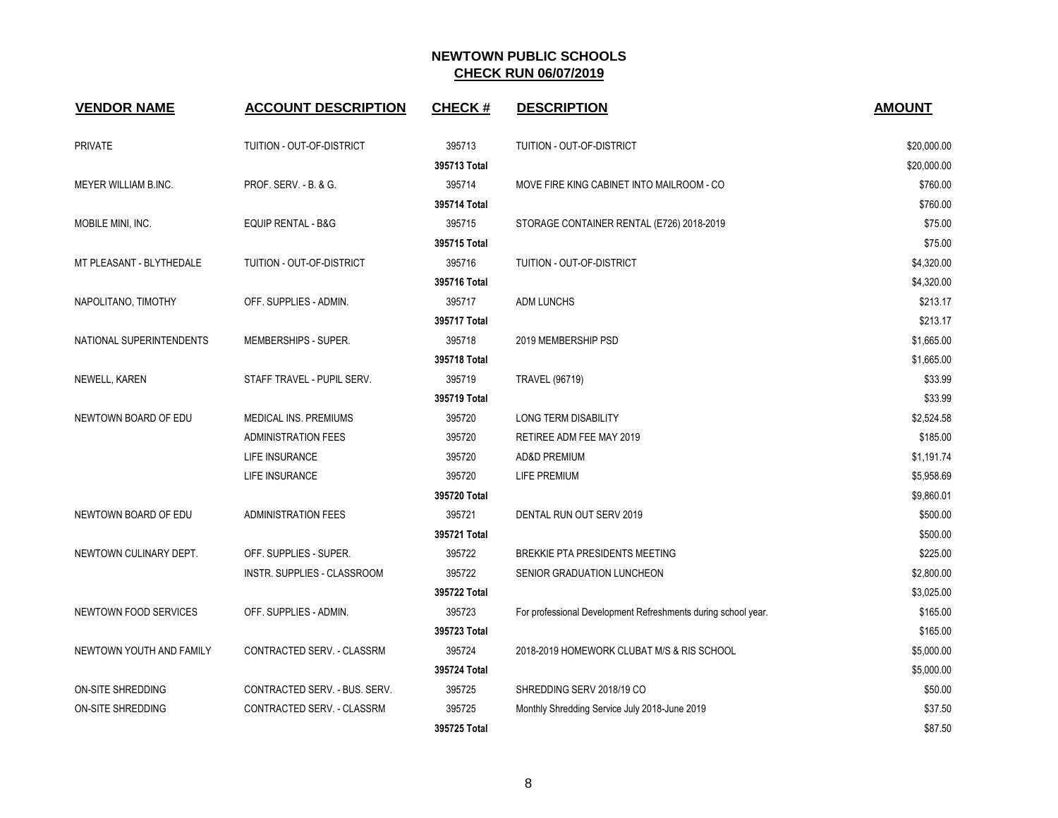| <b>VENDOR NAME</b>          | <b>ACCOUNT DESCRIPTION</b>    | <b>CHECK#</b> | <b>DESCRIPTION</b>                                            | <b>AMOUNT</b> |
|-----------------------------|-------------------------------|---------------|---------------------------------------------------------------|---------------|
| <b>PRIVATE</b>              | TUITION - OUT-OF-DISTRICT     | 395713        | TUITION - OUT-OF-DISTRICT                                     | \$20,000.00   |
|                             |                               | 395713 Total  |                                                               | \$20,000.00   |
| <b>MEYER WILLIAM B.INC.</b> | PROF. SERV. - B. & G.         | 395714        | MOVE FIRE KING CABINET INTO MAILROOM - CO                     | \$760.00      |
|                             |                               | 395714 Total  |                                                               | \$760.00      |
| MOBILE MINI, INC.           | <b>EQUIP RENTAL - B&amp;G</b> | 395715        | STORAGE CONTAINER RENTAL (E726) 2018-2019                     | \$75.00       |
|                             |                               | 395715 Total  |                                                               | \$75.00       |
| MT PLEASANT - BLYTHEDALE    | TUITION - OUT-OF-DISTRICT     | 395716        | TUITION - OUT-OF-DISTRICT                                     | \$4,320.00    |
|                             |                               | 395716 Total  |                                                               | \$4,320.00    |
| NAPOLITANO, TIMOTHY         | OFF. SUPPLIES - ADMIN.        | 395717        | <b>ADM LUNCHS</b>                                             | \$213.17      |
|                             |                               | 395717 Total  |                                                               | \$213.17      |
| NATIONAL SUPERINTENDENTS    | MEMBERSHIPS - SUPER.          | 395718        | 2019 MEMBERSHIP PSD                                           | \$1,665.00    |
|                             |                               | 395718 Total  |                                                               | \$1,665.00    |
| NEWELL, KAREN               | STAFF TRAVEL - PUPIL SERV.    | 395719        | <b>TRAVEL (96719)</b>                                         | \$33.99       |
|                             |                               | 395719 Total  |                                                               | \$33.99       |
| NEWTOWN BOARD OF EDU        | MEDICAL INS. PREMIUMS         | 395720        | LONG TERM DISABILITY                                          | \$2,524.58    |
|                             | <b>ADMINISTRATION FEES</b>    | 395720        | RETIREE ADM FEE MAY 2019                                      | \$185.00      |
|                             | <b>LIFE INSURANCE</b>         | 395720        | AD&D PREMIUM                                                  | \$1,191.74    |
|                             | <b>LIFE INSURANCE</b>         | 395720        | LIFE PREMIUM                                                  | \$5,958.69    |
|                             |                               | 395720 Total  |                                                               | \$9,860.01    |
| NEWTOWN BOARD OF EDU        | <b>ADMINISTRATION FEES</b>    | 395721        | DENTAL RUN OUT SERV 2019                                      | \$500.00      |
|                             |                               | 395721 Total  |                                                               | \$500.00      |
| NEWTOWN CULINARY DEPT.      | OFF. SUPPLIES - SUPER.        | 395722        | <b>BREKKIE PTA PRESIDENTS MEETING</b>                         | \$225.00      |
|                             | INSTR. SUPPLIES - CLASSROOM   | 395722        | SENIOR GRADUATION LUNCHEON                                    | \$2,800.00    |
|                             |                               | 395722 Total  |                                                               | \$3,025.00    |
| NEWTOWN FOOD SERVICES       | OFF. SUPPLIES - ADMIN.        | 395723        | For professional Development Refreshments during school year. | \$165.00      |
|                             |                               | 395723 Total  |                                                               | \$165.00      |
| NEWTOWN YOUTH AND FAMILY    | CONTRACTED SERV. - CLASSRM    | 395724        | 2018-2019 HOMEWORK CLUBAT M/S & RIS SCHOOL                    | \$5,000.00    |
|                             |                               | 395724 Total  |                                                               | \$5,000.00    |
| ON-SITE SHREDDING           | CONTRACTED SERV. - BUS. SERV. | 395725        | SHREDDING SERV 2018/19 CO                                     | \$50.00       |
| ON-SITE SHREDDING           | CONTRACTED SERV. - CLASSRM    | 395725        | Monthly Shredding Service July 2018-June 2019                 | \$37.50       |
|                             |                               | 395725 Total  |                                                               | \$87.50       |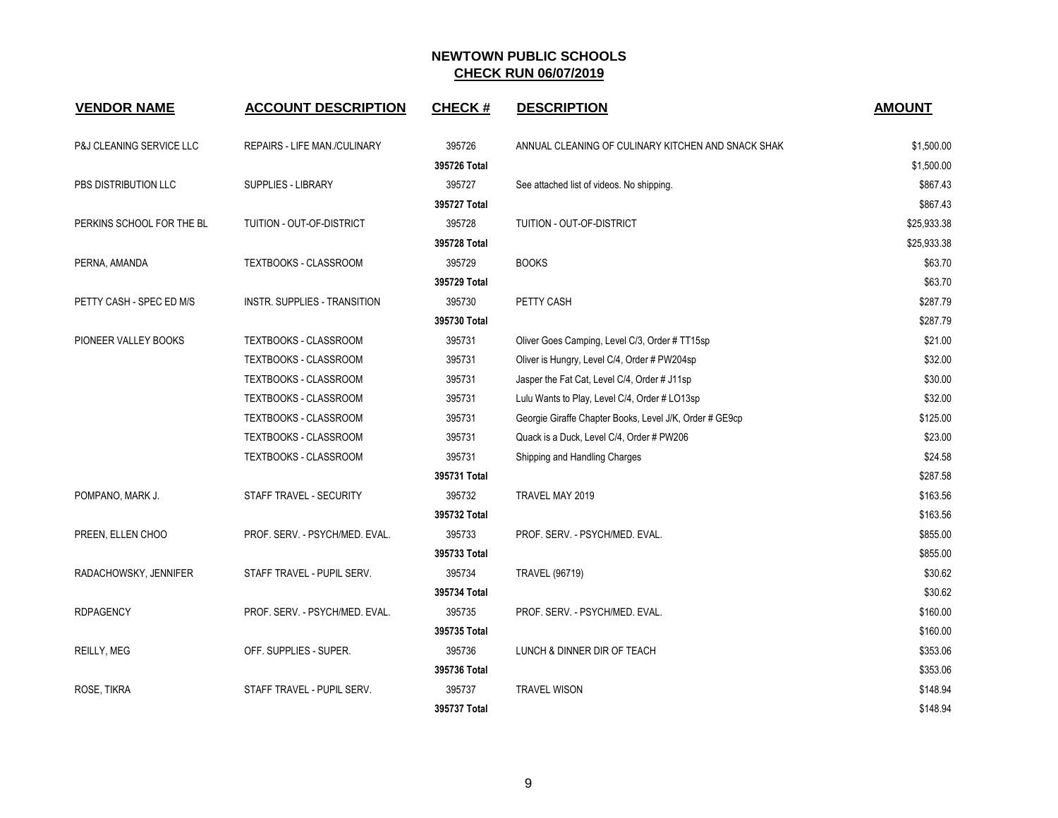| <b>VENDOR NAME</b>        | <b>ACCOUNT DESCRIPTION</b>          | <b>CHECK#</b> | <b>DESCRIPTION</b>                                      | <b>AMOUNT</b> |
|---------------------------|-------------------------------------|---------------|---------------------------------------------------------|---------------|
| P&J CLEANING SERVICE LLC  | REPAIRS - LIFE MAN./CULINARY        | 395726        | ANNUAL CLEANING OF CULINARY KITCHEN AND SNACK SHAK      | \$1,500.00    |
|                           |                                     | 395726 Total  |                                                         | \$1,500.00    |
| PBS DISTRIBUTION LLC      | SUPPLIES - LIBRARY                  | 395727        | See attached list of videos. No shipping.               | \$867.43      |
|                           |                                     | 395727 Total  |                                                         | \$867.43      |
| PERKINS SCHOOL FOR THE BL | TUITION - OUT-OF-DISTRICT           | 395728        | TUITION - OUT-OF-DISTRICT                               | \$25,933.38   |
|                           |                                     | 395728 Total  |                                                         | \$25,933.38   |
| PERNA, AMANDA             | <b>TEXTBOOKS - CLASSROOM</b>        | 395729        | <b>BOOKS</b>                                            | \$63.70       |
|                           |                                     | 395729 Total  |                                                         | \$63.70       |
| PETTY CASH - SPEC ED M/S  | <b>INSTR. SUPPLIES - TRANSITION</b> | 395730        | PETTY CASH                                              | \$287.79      |
|                           |                                     | 395730 Total  |                                                         | \$287.79      |
| PIONEER VALLEY BOOKS      | TEXTBOOKS - CLASSROOM               | 395731        | Oliver Goes Camping, Level C/3, Order # TT15sp          | \$21.00       |
|                           | TEXTBOOKS - CLASSROOM               | 395731        | Oliver is Hungry, Level C/4, Order # PW204sp            | \$32.00       |
|                           | TEXTBOOKS - CLASSROOM               | 395731        | Jasper the Fat Cat, Level C/4, Order # J11sp            | \$30.00       |
|                           | TEXTBOOKS - CLASSROOM               | 395731        | Lulu Wants to Play, Level C/4, Order # LO13sp           | \$32.00       |
|                           | TEXTBOOKS - CLASSROOM               | 395731        | Georgie Giraffe Chapter Books, Level J/K, Order # GE9cp | \$125.00      |
|                           | <b>TEXTBOOKS - CLASSROOM</b>        | 395731        | Quack is a Duck, Level C/4, Order # PW206               | \$23.00       |
|                           | TEXTBOOKS - CLASSROOM               | 395731        | Shipping and Handling Charges                           | \$24.58       |
|                           |                                     | 395731 Total  |                                                         | \$287.58      |
| POMPANO, MARK J.          | STAFF TRAVEL - SECURITY             | 395732        | TRAVEL MAY 2019                                         | \$163.56      |
|                           |                                     | 395732 Total  |                                                         | \$163.56      |
| PREEN, ELLEN CHOO         | PROF. SERV. - PSYCH/MED. EVAL.      | 395733        | PROF. SERV. - PSYCH/MED. EVAL.                          | \$855.00      |
|                           |                                     | 395733 Total  |                                                         | \$855.00      |
| RADACHOWSKY, JENNIFER     | STAFF TRAVEL - PUPIL SERV.          | 395734        | <b>TRAVEL (96719)</b>                                   | \$30.62       |
|                           |                                     | 395734 Total  |                                                         | \$30.62       |
| <b>RDPAGENCY</b>          | PROF. SERV. - PSYCH/MED. EVAL.      | 395735        | PROF. SERV. - PSYCH/MED. EVAL.                          | \$160.00      |
|                           |                                     | 395735 Total  |                                                         | \$160.00      |
| REILLY, MEG               | OFF. SUPPLIES - SUPER.              | 395736        | LUNCH & DINNER DIR OF TEACH                             | \$353.06      |
|                           |                                     | 395736 Total  |                                                         | \$353.06      |
| ROSE, TIKRA               | STAFF TRAVEL - PUPIL SERV.          | 395737        | <b>TRAVEL WISON</b>                                     | \$148.94      |
|                           |                                     | 395737 Total  |                                                         | \$148.94      |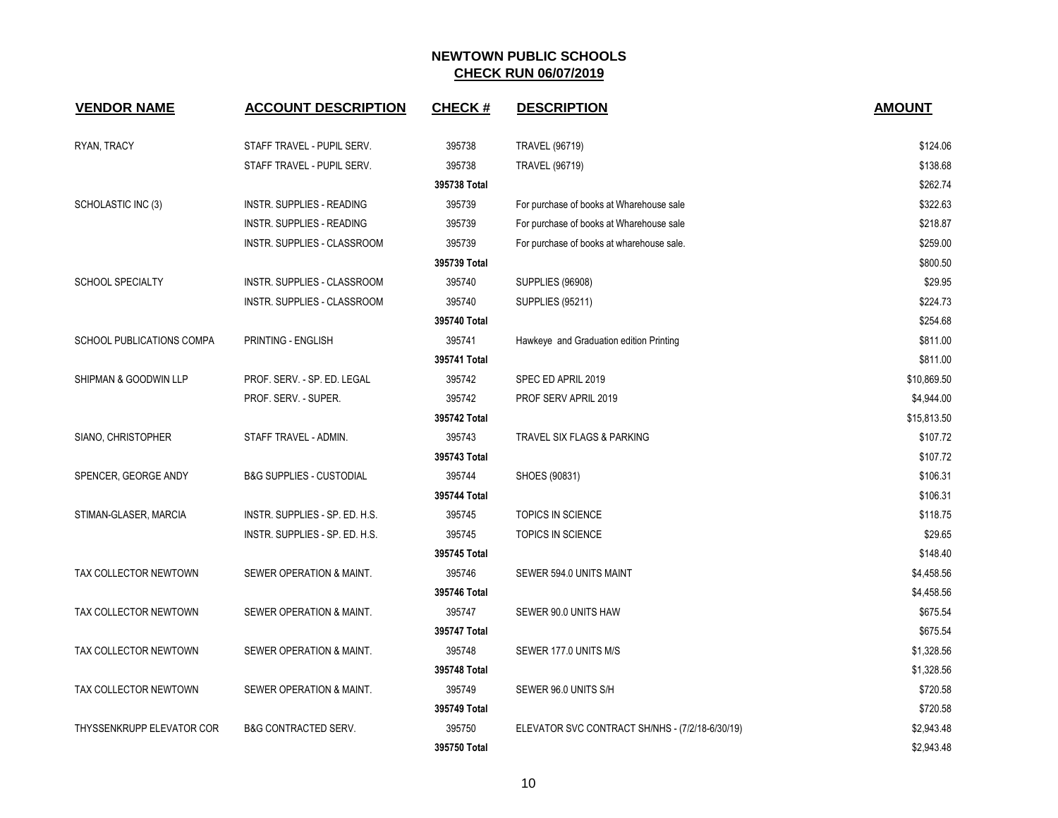| <b>VENDOR NAME</b>        | <b>ACCOUNT DESCRIPTION</b>          | <b>CHECK#</b> | <b>DESCRIPTION</b>                              | <b>AMOUNT</b> |
|---------------------------|-------------------------------------|---------------|-------------------------------------------------|---------------|
| RYAN, TRACY               | STAFF TRAVEL - PUPIL SERV.          | 395738        | <b>TRAVEL (96719)</b>                           | \$124.06      |
|                           | STAFF TRAVEL - PUPIL SERV.          | 395738        | <b>TRAVEL (96719)</b>                           | \$138.68      |
|                           |                                     | 395738 Total  |                                                 | \$262.74      |
| SCHOLASTIC INC (3)        | <b>INSTR. SUPPLIES - READING</b>    | 395739        | For purchase of books at Wharehouse sale        | \$322.63      |
|                           | INSTR. SUPPLIES - READING           | 395739        | For purchase of books at Wharehouse sale        | \$218.87      |
|                           | INSTR. SUPPLIES - CLASSROOM         | 395739        | For purchase of books at wharehouse sale.       | \$259.00      |
|                           |                                     | 395739 Total  |                                                 | \$800.50      |
| <b>SCHOOL SPECIALTY</b>   | INSTR. SUPPLIES - CLASSROOM         | 395740        | <b>SUPPLIES (96908)</b>                         | \$29.95       |
|                           | INSTR. SUPPLIES - CLASSROOM         | 395740        | <b>SUPPLIES (95211)</b>                         | \$224.73      |
|                           |                                     | 395740 Total  |                                                 | \$254.68      |
| SCHOOL PUBLICATIONS COMPA | PRINTING - ENGLISH                  | 395741        | Hawkeye and Graduation edition Printing         | \$811.00      |
|                           |                                     | 395741 Total  |                                                 | \$811.00      |
| SHIPMAN & GOODWIN LLP     | PROF. SERV. - SP. ED. LEGAL         | 395742        | SPEC ED APRIL 2019                              | \$10,869.50   |
|                           | PROF. SERV. - SUPER.                | 395742        | PROF SERV APRIL 2019                            | \$4,944.00    |
|                           |                                     | 395742 Total  |                                                 | \$15,813.50   |
| SIANO, CHRISTOPHER        | STAFF TRAVEL - ADMIN.               | 395743        | TRAVEL SIX FLAGS & PARKING                      | \$107.72      |
|                           |                                     | 395743 Total  |                                                 | \$107.72      |
| SPENCER, GEORGE ANDY      | <b>B&amp;G SUPPLIES - CUSTODIAL</b> | 395744        | SHOES (90831)                                   | \$106.31      |
|                           |                                     | 395744 Total  |                                                 | \$106.31      |
| STIMAN-GLASER, MARCIA     | INSTR. SUPPLIES - SP. ED. H.S.      | 395745        | TOPICS IN SCIENCE                               | \$118.75      |
|                           | INSTR. SUPPLIES - SP. ED. H.S.      | 395745        | <b>TOPICS IN SCIENCE</b>                        | \$29.65       |
|                           |                                     | 395745 Total  |                                                 | \$148.40      |
| TAX COLLECTOR NEWTOWN     | SEWER OPERATION & MAINT.            | 395746        | SEWER 594.0 UNITS MAINT                         | \$4,458.56    |
|                           |                                     | 395746 Total  |                                                 | \$4,458.56    |
| TAX COLLECTOR NEWTOWN     | SEWER OPERATION & MAINT.            | 395747        | SEWER 90.0 UNITS HAW                            | \$675.54      |
|                           |                                     | 395747 Total  |                                                 | \$675.54      |
| TAX COLLECTOR NEWTOWN     | SEWER OPERATION & MAINT.            | 395748        | SEWER 177.0 UNITS M/S                           | \$1,328.56    |
|                           |                                     | 395748 Total  |                                                 | \$1,328.56    |
| TAX COLLECTOR NEWTOWN     | SEWER OPERATION & MAINT.            | 395749        | SEWER 96.0 UNITS S/H                            | \$720.58      |
|                           |                                     | 395749 Total  |                                                 | \$720.58      |
| THYSSENKRUPP ELEVATOR COR | <b>B&amp;G CONTRACTED SERV.</b>     | 395750        | ELEVATOR SVC CONTRACT SH/NHS - (7/2/18-6/30/19) | \$2,943.48    |
|                           |                                     | 395750 Total  |                                                 | \$2,943.48    |